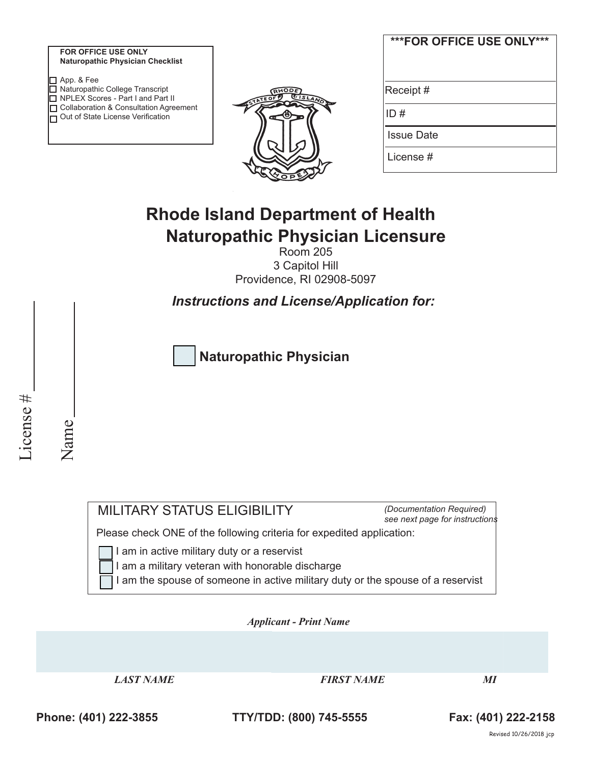| <b>FOR OFFICE USE ONLY</b>       |  |
|----------------------------------|--|
| Naturopathic Physician Checklist |  |

| $\Pi$ App. & Fee                    |                                          |
|-------------------------------------|------------------------------------------|
| □ Naturopathic College Transcript   |                                          |
| □ NPLEX Scores - Part I and Part II |                                          |
|                                     | □ Collaboration & Consultation Agreement |
| Out of State License Verification   |                                          |
|                                     |                                          |



| ***FOR OFFICE USE ONLY*** |
|---------------------------|
| Receipt #                 |
| ID#                       |
| <b>Issue Date</b>         |
| License #                 |

# **Rhode Island Department of Health Naturopathic Physician Licensure**

Room 205 3 Capitol Hill Providence, RI 02908-5097

*Instructions and License/Application for:*

**Naturopathic Physician**

License # License #

Name

MILITARY STATUS ELIGIBILITY

*(Documentation Required) see next page for instructions*

Please check ONE of the following criteria for expedited application:

I am in active military duty or a reservist

I am a military veteran with honorable discharge

I am the spouse of someone in active military duty or the spouse of a reservist

*Applicant - Print Name* 

*LAST NAME FIRST NAME MI* 

**Phone: (401) 222-3855 TTY/TDD: (800) 745-5555 Fax: (401) 222-2158**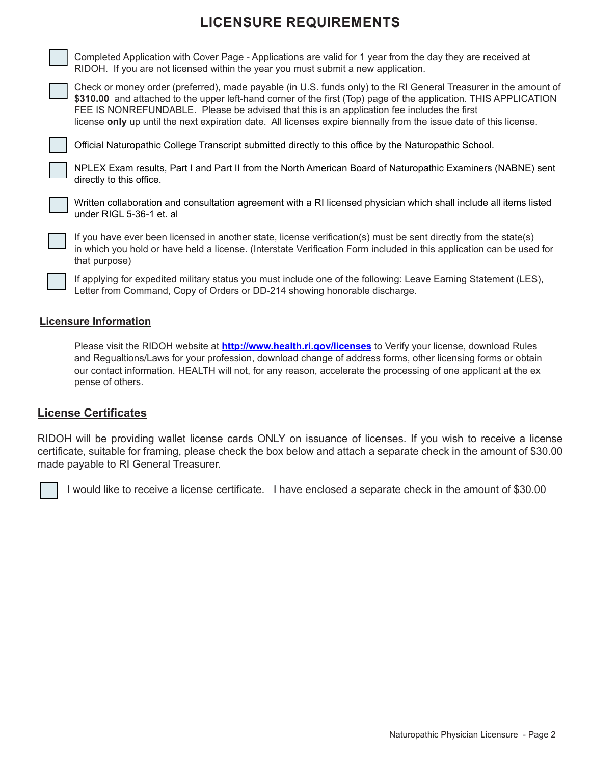## **LICENSURE REQUIREMENTS**

Completed Application with Cover Page - Applications are valid for 1 year from the day they are received at RIDOH. If you are not licensed within the year you must submit a new application.



license **only** up until the next expiration date. All licenses expire biennally from the issue date of this license.

Official Naturopathic College Transcript submitted directly to this office by the Naturopathic School.

NPLEX Exam results, Part I and Part II from the North American Board of Naturopathic Examiners (NABNE) sent directly to this office.



Written collaboration and consultation agreement with a RI licensed physician which shall include all items listed under RIGL 5-36-1 et. al

If you have ever been licensed in another state, license verification(s) must be sent directly from the state(s) in which you hold or have held a license. (Interstate Verification Form included in this application can be used for that purpose)

If applying for expedited military status you must include one of the following: Leave Earning Statement (LES), Letter from Command, Copy of Orders or DD-214 showing honorable discharge.

#### **Licensure Information**

Please visit the RIDOH website at **http://www.health.ri.gov/licenses** to Verify your license, download Rules and Regualtions/Laws for your profession, download change of address forms, other licensing forms or obtain our contact information. HEALTH will not, for any reason, accelerate the processing of one applicant at the ex pense of others.

#### **License Certificates**

RIDOH will be providing wallet license cards ONLY on issuance of licenses. If you wish to receive a license certificate, suitable for framing, please check the box below and attach a separate check in the amount of \$30.00 made payable to RI General Treasurer.

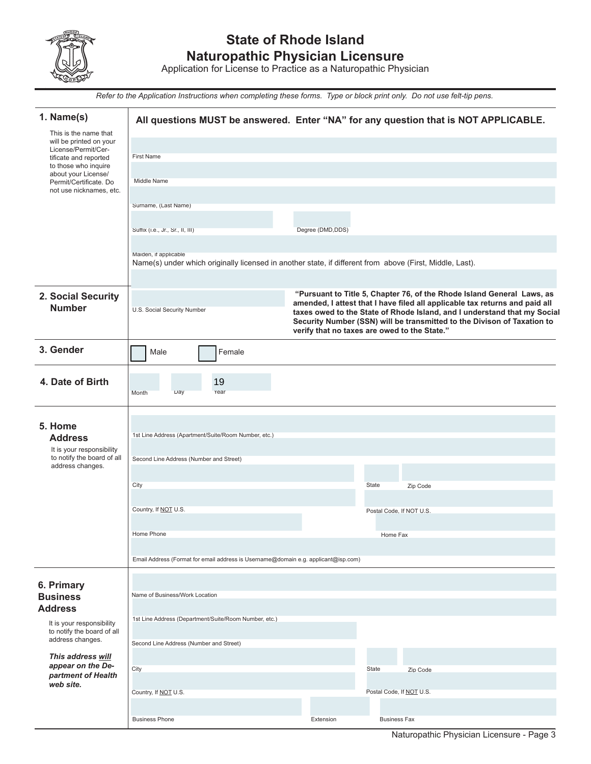

### **State of Rhode Island Naturopathic Physician Licensure**

Application for License to Practice as a Naturopathic Physician

*Refer to the Application Instructions when completing these forms. Type or block print only. Do not use felt-tip pens.*

| 1. Name(s)<br>This is the name that                     |                                                                                                                                   |                   | All questions MUST be answered. Enter "NA" for any question that is NOT APPLICABLE.                                                                 |
|---------------------------------------------------------|-----------------------------------------------------------------------------------------------------------------------------------|-------------------|-----------------------------------------------------------------------------------------------------------------------------------------------------|
| will be printed on your<br>License/Permit/Cer-          |                                                                                                                                   |                   |                                                                                                                                                     |
| tificate and reported                                   | <b>First Name</b>                                                                                                                 |                   |                                                                                                                                                     |
| to those who inquire<br>about your License/             |                                                                                                                                   |                   |                                                                                                                                                     |
| Permit/Certificate. Do<br>not use nicknames, etc.       | Middle Name                                                                                                                       |                   |                                                                                                                                                     |
|                                                         | Surname, (Last Name)                                                                                                              |                   |                                                                                                                                                     |
|                                                         |                                                                                                                                   |                   |                                                                                                                                                     |
|                                                         | Suffix (i.e., Jr., Sr., II, III)                                                                                                  | Degree (DMD, DDS) |                                                                                                                                                     |
|                                                         |                                                                                                                                   |                   |                                                                                                                                                     |
|                                                         | Maiden, if applicable<br>Name(s) under which originally licensed in another state, if different from above (First, Middle, Last). |                   |                                                                                                                                                     |
|                                                         |                                                                                                                                   |                   |                                                                                                                                                     |
| 2. Social Security                                      |                                                                                                                                   |                   | "Pursuant to Title 5, Chapter 76, of the Rhode Island General Laws, as                                                                              |
| <b>Number</b>                                           | U.S. Social Security Number                                                                                                       |                   | amended, I attest that I have filed all applicable tax returns and paid all                                                                         |
|                                                         |                                                                                                                                   |                   | taxes owed to the State of Rhode Island, and I understand that my Social<br>Security Number (SSN) will be transmitted to the Divison of Taxation to |
|                                                         |                                                                                                                                   |                   | verify that no taxes are owed to the State."                                                                                                        |
| 3. Gender                                               | Male<br>Female                                                                                                                    |                   |                                                                                                                                                     |
| 4. Date of Birth                                        |                                                                                                                                   |                   |                                                                                                                                                     |
|                                                         | 19<br>Day<br>Year<br>Month                                                                                                        |                   |                                                                                                                                                     |
|                                                         |                                                                                                                                   |                   |                                                                                                                                                     |
| 5. Home                                                 |                                                                                                                                   |                   |                                                                                                                                                     |
| <b>Address</b>                                          | 1st Line Address (Apartment/Suite/Room Number, etc.)                                                                              |                   |                                                                                                                                                     |
| It is your responsibility                               |                                                                                                                                   |                   |                                                                                                                                                     |
| to notify the board of all<br>address changes.          | Second Line Address (Number and Street)                                                                                           |                   |                                                                                                                                                     |
|                                                         |                                                                                                                                   |                   |                                                                                                                                                     |
|                                                         | City                                                                                                                              |                   | State<br>Zip Code                                                                                                                                   |
|                                                         | Country, If NOT U.S.                                                                                                              |                   | Postal Code, If NOT U.S.                                                                                                                            |
|                                                         |                                                                                                                                   |                   |                                                                                                                                                     |
|                                                         | Home Phone                                                                                                                        |                   | Home Fax                                                                                                                                            |
|                                                         |                                                                                                                                   |                   |                                                                                                                                                     |
|                                                         | Email Address (Format for email address is Username@domain e.g. applicant@isp.com)                                                |                   |                                                                                                                                                     |
| 6. Primary                                              |                                                                                                                                   |                   |                                                                                                                                                     |
| <b>Business</b>                                         | Name of Business/Work Location                                                                                                    |                   |                                                                                                                                                     |
| <b>Address</b>                                          |                                                                                                                                   |                   |                                                                                                                                                     |
| It is your responsibility<br>to notify the board of all | 1st Line Address (Department/Suite/Room Number, etc.)                                                                             |                   |                                                                                                                                                     |
| address changes.                                        | Second Line Address (Number and Street)                                                                                           |                   |                                                                                                                                                     |
| This address will                                       |                                                                                                                                   |                   |                                                                                                                                                     |
| appear on the De-<br>partment of Health                 | City                                                                                                                              |                   | State<br>Zip Code                                                                                                                                   |
| web site.                                               |                                                                                                                                   |                   |                                                                                                                                                     |
|                                                         | Country, If NOT U.S.                                                                                                              |                   | Postal Code, If NOT U.S.                                                                                                                            |
|                                                         |                                                                                                                                   |                   | <b>Business Fax</b>                                                                                                                                 |
|                                                         | <b>Business Phone</b>                                                                                                             | Extension         |                                                                                                                                                     |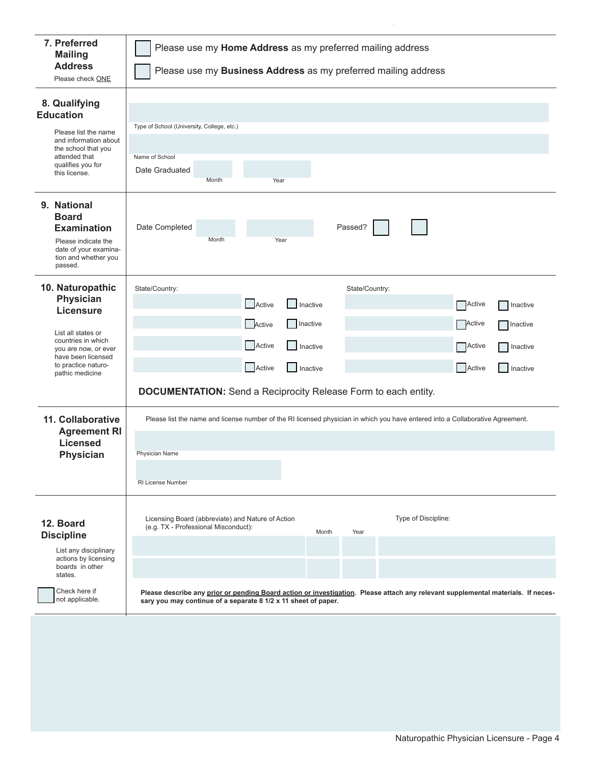| 7. Preferred<br><b>Mailing</b><br><b>Address</b><br>Please check ONE                                                                                                                         | Please use my Home Address as my preferred mailing address<br>Please use my Business Address as my preferred mailing address                                                                                                                                                                                                            |  |  |  |  |
|----------------------------------------------------------------------------------------------------------------------------------------------------------------------------------------------|-----------------------------------------------------------------------------------------------------------------------------------------------------------------------------------------------------------------------------------------------------------------------------------------------------------------------------------------|--|--|--|--|
| 8. Qualifying<br><b>Education</b><br>Please list the name<br>and information about<br>the school that you<br>attended that<br>qualifies you for<br>this license.                             | Type of School (University, College, etc.)<br>Name of School<br>Date Graduated<br>Month<br>Year                                                                                                                                                                                                                                         |  |  |  |  |
| 9. National<br><b>Board</b><br><b>Examination</b><br>Please indicate the<br>date of your examina-<br>tion and whether you<br>passed.                                                         | Date Completed<br>Passed?<br>Month<br>Year                                                                                                                                                                                                                                                                                              |  |  |  |  |
| 10. Naturopathic<br><b>Physician</b><br><b>Licensure</b><br>List all states or<br>countries in which<br>you are now, or ever<br>have been licensed<br>to practice naturo-<br>pathic medicine | State/Country:<br>State/Country:<br>Active<br>Inactive<br><b>Active</b><br>Inactive<br>Active<br>Inactive<br>Active<br><b>Inactive</b><br>Active<br>Inactive<br><b>Active</b><br>Inactive<br>Active<br>Active<br>Inactive<br>Inactive<br><b>DOCUMENTATION:</b> Send a Reciprocity Release Form to each entity.                          |  |  |  |  |
| 11. Collaborative<br><b>Agreement RI</b><br><b>Licensed</b><br><b>Physician</b>                                                                                                              | Please list the name and license number of the RI licensed physician in which you have entered into a Collaborative Agreement.<br>Physician Name<br>RI License Number                                                                                                                                                                   |  |  |  |  |
| 12. Board<br><b>Discipline</b><br>List any disciplinary<br>actions by licensing<br>boards in other<br>states.<br>Check here if<br>not applicable.                                            | Type of Discipline:<br>Licensing Board (abbreviate) and Nature of Action<br>(e.g. TX - Professional Misconduct):<br>Month<br>Year<br>Please describe any prior or pending Board action or investigation. Please attach any relevant supplemental materials. If neces-<br>sary you may continue of a separate 8 1/2 x 11 sheet of paper. |  |  |  |  |
|                                                                                                                                                                                              |                                                                                                                                                                                                                                                                                                                                         |  |  |  |  |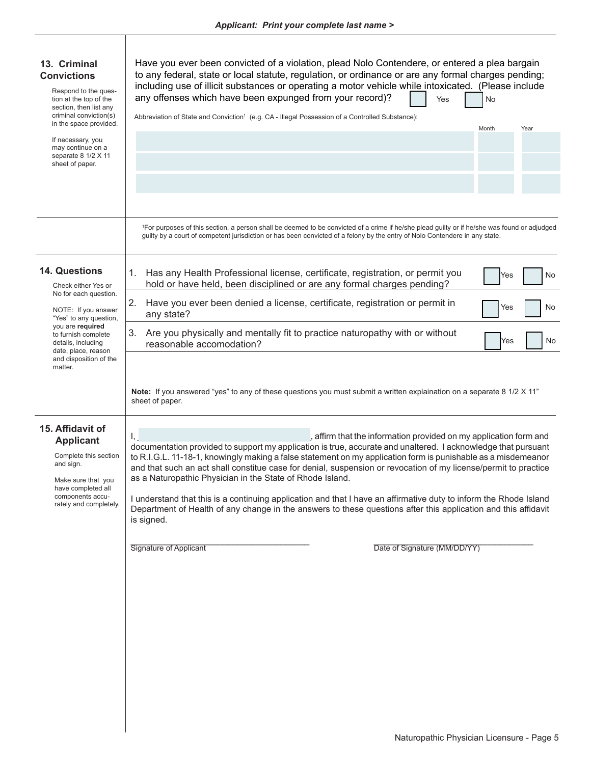| 13. Criminal<br><b>Convictions</b><br>Respond to the ques-<br>tion at the top of the<br>section, then list any<br>criminal conviction(s)<br>in the space provided.<br>If necessary, you<br>may continue on a<br>separate 8 1/2 X 11<br>sheet of paper. | Have you ever been convicted of a violation, plead Nolo Contendere, or entered a plea bargain<br>to any federal, state or local statute, regulation, or ordinance or are any formal charges pending;<br>including use of illicit substances or operating a motor vehicle while intoxicated. (Please include<br>any offenses which have been expunged from your record)?<br>No<br>Yes<br>Abbreviation of State and Conviction <sup>1</sup> (e.g. CA - Illegal Possession of a Controlled Substance):<br>Month<br>Year                                                                                                                                                                                                                           |
|--------------------------------------------------------------------------------------------------------------------------------------------------------------------------------------------------------------------------------------------------------|------------------------------------------------------------------------------------------------------------------------------------------------------------------------------------------------------------------------------------------------------------------------------------------------------------------------------------------------------------------------------------------------------------------------------------------------------------------------------------------------------------------------------------------------------------------------------------------------------------------------------------------------------------------------------------------------------------------------------------------------|
|                                                                                                                                                                                                                                                        | <sup>1</sup> For purposes of this section, a person shall be deemed to be convicted of a crime if he/she plead guilty or if he/she was found or adjudged<br>guilty by a court of competent jurisdiction or has been convicted of a felony by the entry of Nolo Contendere in any state.                                                                                                                                                                                                                                                                                                                                                                                                                                                        |
| <b>14. Questions</b><br>Check either Yes or<br>No for each question.<br>NOTE: If you answer<br>"Yes" to any question,<br>you are required<br>to furnish complete<br>details, including<br>date, place, reason<br>and disposition of the<br>matter.     | Has any Health Professional license, certificate, registration, or permit you<br>1.<br>No<br>Yes<br>hold or have held, been disciplined or are any formal charges pending?                                                                                                                                                                                                                                                                                                                                                                                                                                                                                                                                                                     |
|                                                                                                                                                                                                                                                        | Have you ever been denied a license, certificate, registration or permit in<br>2.<br>Yes<br>No<br>any state?                                                                                                                                                                                                                                                                                                                                                                                                                                                                                                                                                                                                                                   |
|                                                                                                                                                                                                                                                        | Are you physically and mentally fit to practice naturopathy with or without<br>3.<br>No<br>Yes<br>reasonable accomodation?                                                                                                                                                                                                                                                                                                                                                                                                                                                                                                                                                                                                                     |
|                                                                                                                                                                                                                                                        | Note: If you answered "yes" to any of these questions you must submit a written explaination on a separate 8 1/2 X 11"<br>sheet of paper.                                                                                                                                                                                                                                                                                                                                                                                                                                                                                                                                                                                                      |
| 15. Affidavit of<br><b>Applicant</b><br>Complete this section<br>and sign.<br>Make sure that you<br>have completed all<br>components accu-<br>rately and completely.                                                                                   | , affirm that the information provided on my application form and<br>Ι,<br>documentation provided to support my application is true, accurate and unaltered. I acknowledge that pursuant<br>to R.I.G.L. 11-18-1, knowingly making a false statement on my application form is punishable as a misdemeanor<br>and that such an act shall constitue case for denial, suspension or revocation of my license/permit to practice<br>as a Naturopathic Physician in the State of Rhode Island.<br>I understand that this is a continuing application and that I have an affirmative duty to inform the Rhode Island<br>Department of Health of any change in the answers to these questions after this application and this affidavit<br>is signed. |
|                                                                                                                                                                                                                                                        | Date of Signature (MM/DD/YY)<br>Signature of Applicant                                                                                                                                                                                                                                                                                                                                                                                                                                                                                                                                                                                                                                                                                         |
|                                                                                                                                                                                                                                                        |                                                                                                                                                                                                                                                                                                                                                                                                                                                                                                                                                                                                                                                                                                                                                |